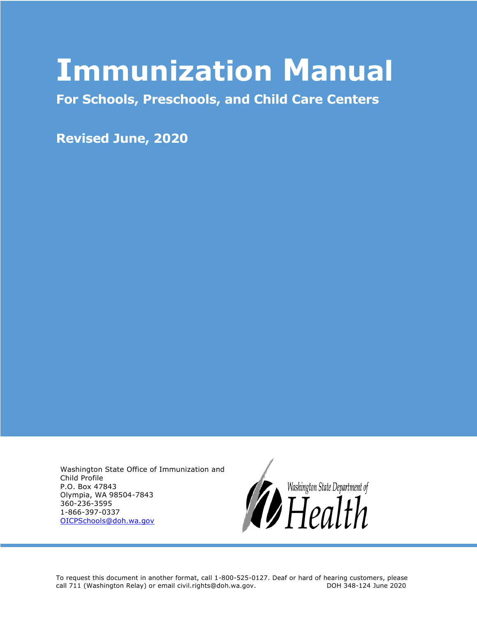# **Immunization Manual**

**For Schools, Preschools, and Child Care Centers**

**Revised June, 2020**

Washington State Office of Immunization and Child Profile P.O. Box 47843 Olympia, WA 98504-7843 360-236-3595 1-866-397-0337 [OICPSchools@doh.wa.gov](mailto:OICPSchools@doh.wa.gov)



To request this document in another format, call 1-800-525-0127. Deaf or hard of hearing customers, please call 711 (Washington Relay) or email civil.rights@doh.wa.gov. DOH 348-124 June 2020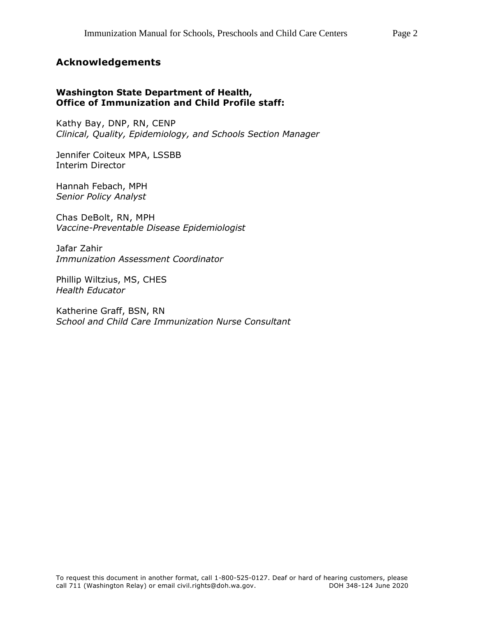#### **Acknowledgements**

#### **Washington State Department of Health, Office of Immunization and Child Profile staff:**

Kathy Bay, DNP, RN, CENP *Clinical, Quality, Epidemiology, and Schools Section Manager*

Jennifer Coiteux MPA, LSSBB Interim Director

Hannah Febach, MPH *Senior Policy Analyst*

Chas DeBolt, RN, MPH *Vaccine-Preventable Disease Epidemiologist*

Jafar Zahir *Immunization Assessment Coordinator*

Phillip Wiltzius, MS, CHES *Health Educator*

Katherine Graff, BSN, RN *School and Child Care Immunization Nurse Consultant*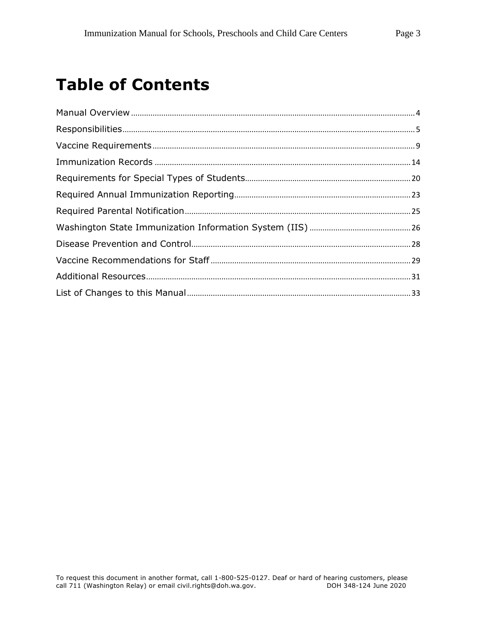## **Table of Contents**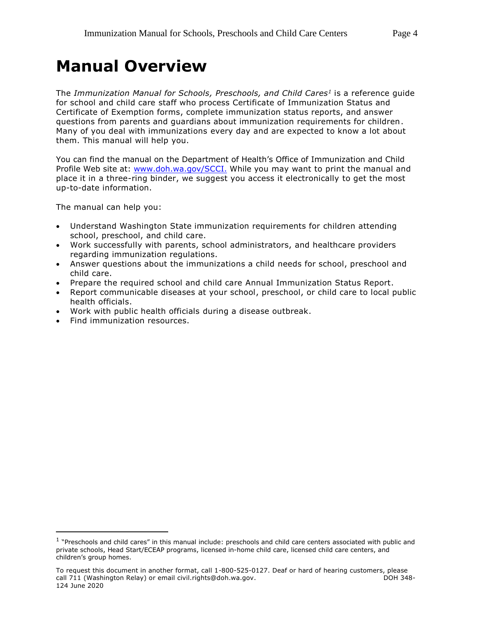## <span id="page-3-0"></span>**Manual Overview**

The *Immunization Manual for Schools, Preschools, and Child Cares<sup>1</sup>* is a reference guide for school and child care staff who process Certificate of Immunization Status and Certificate of Exemption forms, complete immunization status reports, and answer questions from parents and guardians about immunization requirements for children. Many of you deal with immunizations every day and are expected to know a lot about them. This manual will help you.

You can find the manual on the Department of Health's Office of Immunization and Child Profile Web site at: [www.doh.wa.gov/SCCI.](https://www.doh.wa.gov/SCCI) While you may want to print the manual and place it in a three-ring binder, we suggest you access it electronically to get the most up-to-date information.

The manual can help you:

- Understand Washington State immunization requirements for children attending school, preschool, and child care.
- Work successfully with parents, school administrators, and healthcare providers regarding immunization regulations.
- Answer questions about the immunizations a child needs for school, preschool and child care.
- Prepare the required school and child care Annual Immunization Status Report.
- Report communicable diseases at your school, preschool, or child care to local public health officials.
- Work with public health officials during a disease outbreak.
- Find immunization resources.

 $\overline{a}$ 

<sup>&</sup>lt;sup>1</sup> "Preschools and child cares" in this manual include: preschools and child care centers associated with public and private schools, Head Start/ECEAP programs, licensed in-home child care, licensed child care centers, and children's group homes.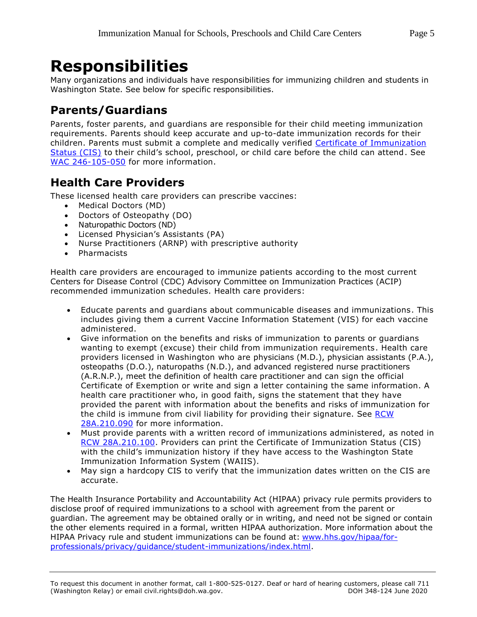## <span id="page-4-0"></span>**Responsibilities**

Many organizations and individuals have responsibilities for immunizing children and students in Washington State. See below for specific responsibilities.

## **Parents/Guardians**

Parents, foster parents, and guardians are responsible for their child meeting immunization requirements. Parents should keep accurate and up-to-date immunization records for their children. Parents must submit a complete and medically verified [Certificate of Immunization](#page-10-0)  [Status \(CIS\)](#page-10-0) to their child's school, preschool, or child care before the child can attend. See [WAC 246-105-050](http://app.leg.wa.gov/wac/default.aspx?cite=246-105-050) for more information.

## **Health Care Providers**

These licensed health care providers can prescribe vaccines:

- Medical Doctors (MD)
- Doctors of Osteopathy (DO)
- Naturopathic Doctors (ND)
- Licensed Physician's Assistants (PA)
- Nurse Practitioners (ARNP) with prescriptive authority
- Pharmacists

Health care providers are encouraged to immunize patients according to the most current Centers for Disease Control (CDC) Advisory Committee on Immunization Practices (ACIP) recommended immunization schedules. Health care providers:

- Educate parents and guardians about communicable diseases and immunizations. This includes giving them a current Vaccine Information Statement (VIS) for each vaccine administered.
- Give information on the benefits and risks of immunization to parents or guardians wanting to exempt (excuse) their child from immunization requirements. Health care providers licensed in Washington who are physicians (M.D.), physician assistants (P.A.), osteopaths (D.O.), naturopaths (N.D.), and advanced registered nurse practitioners (A.R.N.P.), meet the definition of health care practitioner and can sign the official Certificate of Exemption or write and sign a letter containing the same information. A health care practitioner who, in good faith, signs the statement that they have provided the parent with information about the benefits and risks of immunization for the child is immune from civil liability for providing their signature. See [RCW](https://app.leg.wa.gov/rcw/default.aspx?cite=28A.210.090)  [28A.210.090](https://app.leg.wa.gov/rcw/default.aspx?cite=28A.210.090) for more information.
- Must provide parents with a written record of immunizations administered, as noted in [RCW 28A.210.100.](http://app.leg.wa.gov/rcw/default.aspx?cite=28A.210.100) Providers can print the Certificate of Immunization Status (CIS) with the child's immunization history if they have access to the Washington State Immunization Information System (WAIIS).
- May sign a hardcopy CIS to verify that the immunization dates written on the CIS are accurate.

The Health Insurance Portability and Accountability Act (HIPAA) privacy rule permits providers to disclose proof of required immunizations to a school with agreement from the parent or guardian. The agreement may be obtained orally or in writing, and need not be signed or contain the other elements required in a formal, written HIPAA authorization. More information about the HIPAA Privacy rule and student immunizations can be found at: [www.hhs.gov/hipaa/for](https://www.hhs.gov/hipaa/for-professionals/privacy/guidance/student-immunizations/index.html)[professionals/privacy/guidance/student-immunizations/index.html.](https://www.hhs.gov/hipaa/for-professionals/privacy/guidance/student-immunizations/index.html)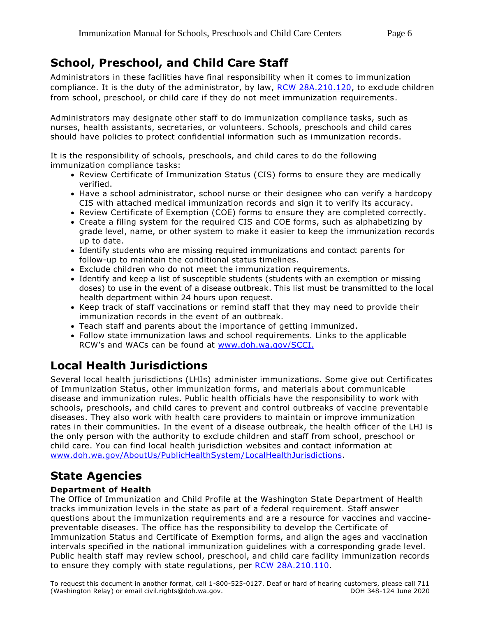## **School, Preschool, and Child Care Staff**

Administrators in these facilities have final responsibility when it comes to immunization compliance. It is the duty of the administrator, by law, [RCW 28A.210.120,](http://app.leg.wa.gov/rcw/default.aspx?cite=28A.210.120) to exclude children from school, preschool, or child care if they do not meet immunization requirements.

Administrators may designate other staff to do immunization compliance tasks, such as nurses, health assistants, secretaries, or volunteers. Schools, preschools and child cares should have policies to protect confidential information such as immunization records.

It is the responsibility of schools, preschools, and child cares to do the following immunization compliance tasks:

- Review Certificate of Immunization Status (CIS) forms to ensure they are medically verified.
- Have a school administrator, school nurse or their designee who can verify a hardcopy CIS with attached medical immunization records and sign it to verify its accuracy.
- Review Certificate of Exemption (COE) forms to ensure they are completed correctly.
- Create a filing system for the required CIS and COE forms, such as alphabetizing by grade level, name, or other system to make it easier to keep the immunization records up to date.
- Identify students who are missing required immunizations and contact parents for follow-up to maintain the conditional status timelines.
- Exclude children who do not meet the immunization requirements.
- Identify and keep a list of susceptible students (students with an exemption or missing doses) to use in the event of a disease outbreak. This list must be transmitted to the local health department within 24 hours upon request.
- Keep track of staff vaccinations or remind staff that they may need to provide their immunization records in the event of an outbreak.
- Teach staff and parents about the importance of getting immunized.
- Follow state immunization laws and school requirements. Links to the applicable RCW's and WACs can be found at [www.doh.wa.gov/SCCI.](http://www.doh.wa.gov/SCCI)

## **Local Health Jurisdictions**

Several local health jurisdictions (LHJs) administer immunizations. Some give out Certificates of Immunization Status, other immunization forms, and materials about communicable disease and immunization rules. Public health officials have the responsibility to work with schools, preschools, and child cares to prevent and control outbreaks of vaccine preventable diseases. They also work with health care providers to maintain or improve immunization rates in their communities. In the event of a disease outbreak, the health officer of the LHJ is the only person with the authority to exclude children and staff from school, preschool or child care. You can find local health jurisdiction websites and contact information at [www.doh.wa.gov/AboutUs/PublicHealthSystem/LocalHealthJurisdictions.](https://www.doh.wa.gov/AboutUs/PublicHealthSystem/LocalHealthJurisdictions)

## **State Agencies**

#### **Department of Health**

The Office of Immunization and Child Profile at the Washington State Department of Health tracks immunization levels in the state as part of a federal requirement. Staff answer questions about the immunization requirements and are a resource for vaccines and vaccinepreventable diseases. The office has the responsibility to develop the Certificate of Immunization Status and Certificate of Exemption forms, and align the ages and vaccination intervals specified in the national immunization guidelines with a corresponding grade level. Public health staff may review school, preschool, and child care facility immunization records to ensure they comply with state regulations, per [RCW 28A.210.110.](http://app.leg.wa.gov/rcw/default.aspx?cite=28A.210.110)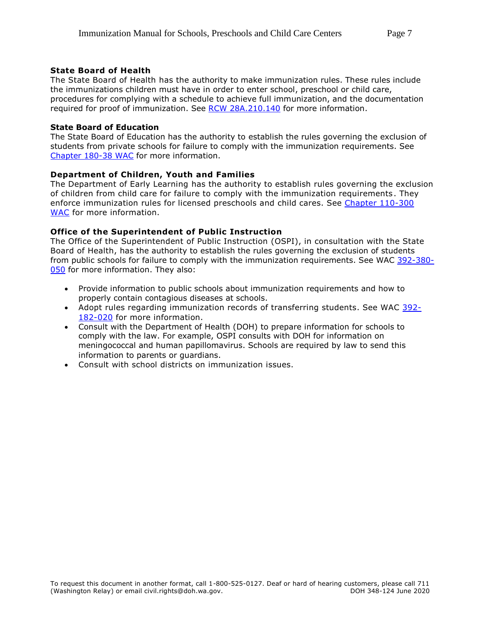#### **State Board of Health**

The State Board of Health has the authority to make immunization rules. These rules include the immunizations children must have in order to enter school, preschool or child care, procedures for complying with a schedule to achieve full immunization, and the documentation required for proof of immunization. See [RCW 28A.210.140](http://app.leg.wa.gov/rcw/default.aspx?cite=28A.210.140) for more information.

#### **State Board of Education**

The State Board of Education has the authority to establish the rules governing the exclusion of students from private schools for failure to comply with the immunization requirements. See [Chapter 180-38 WAC](https://app.leg.wa.gov/wac/default.aspx?cite=180-38) for more information.

#### **Department of Children, Youth and Families**

The Department of Early Learning has the authority to establish rules governing the exclusion of children from child care for failure to comply with the immunization requirements. They enforce immunization rules for licensed preschools and child cares. See [Chapter 110-300](https://app.leg.wa.gov/wac/default.aspx?cite=110-300)  [WAC](https://app.leg.wa.gov/wac/default.aspx?cite=110-300) for more information.

#### **Office of the Superintendent of Public Instruction**

The Office of the Superintendent of Public Instruction (OSPI), in consultation with the State Board of Health, has the authority to establish the rules governing the exclusion of students from public schools for failure to comply with the immunization requirements. See WAC [392-380-](https://app.leg.wa.gov/wac/default.aspx?cite=392-380-050) [050](https://app.leg.wa.gov/wac/default.aspx?cite=392-380-050) for more information. They also:

- Provide information to public schools about immunization requirements and how to properly contain contagious diseases at schools.
- Adopt rules regarding immunization records of transferring students. See WAC [392-](https://app.leg.wa.gov/wac/default.aspx?cite=392-182-020) [182-020](https://app.leg.wa.gov/wac/default.aspx?cite=392-182-020) for more information.
- Consult with the Department of Health (DOH) to prepare information for schools to comply with the law. For example, OSPI consults with DOH for information on meningococcal and human papillomavirus. Schools are required by law to send this information to parents or guardians.
- Consult with school districts on immunization issues.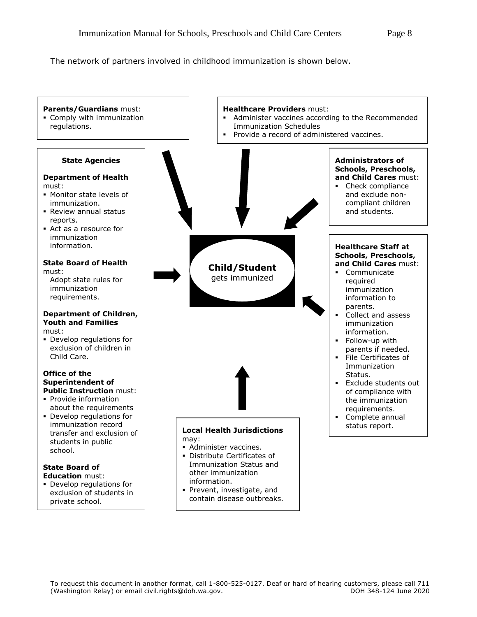The network of partners involved in childhood immunization is shown below.

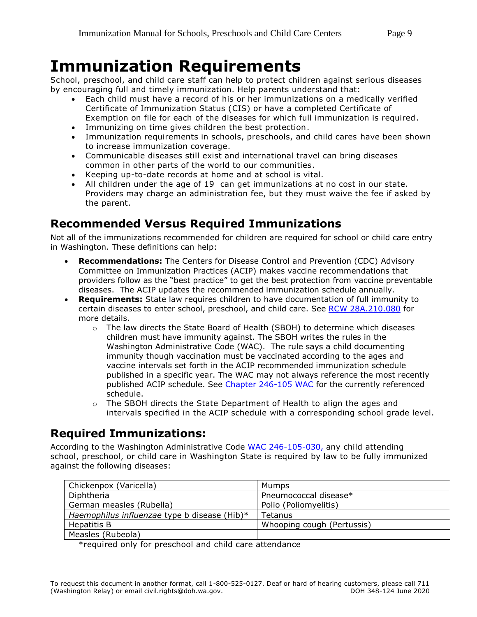## <span id="page-8-0"></span>**Immunization Requirements**

School, preschool, and child care staff can help to protect children against serious diseases by encouraging full and timely immunization. Help parents understand that:

- Each child must have a record of his or her immunizations on a medically verified Certificate of Immunization Status (CIS) or have a completed Certificate of Exemption on file for each of the diseases for which full immunization is required.
- Immunizing on time gives children the best protection.
- Immunization requirements in schools, preschools, and child cares have been shown to increase immunization coverage.
- Communicable diseases still exist and international travel can bring diseases common in other parts of the world to our communities.
- Keeping up-to-date records at home and at school is vital.
- All children under the age of 19 can get immunizations at no cost in our state. Providers may charge an administration fee, but they must waive the fee if asked by the parent.

## **Recommended Versus Required Immunizations**

Not all of the immunizations recommended for children are required for school or child care entry in Washington. These definitions can help:

- **Recommendations:** The Centers for Disease Control and Prevention (CDC) Advisory Committee on Immunization Practices (ACIP) makes vaccine recommendations that providers follow as the "best practice" to get the best protection from vaccine preventable diseases. The ACIP updates the recommended immunization schedule annually.
- **Requirements:** State law requires children to have documentation of full immunity to certain diseases to enter school, preschool, and child care. See [RCW 28A.210.080](http://app.leg.wa.gov/RCW/default.aspx?cite=28A.210.080) for more details.
	- o The law directs the State Board of Health (SBOH) to determine which diseases children must have immunity against. The SBOH writes the rules in the Washington Administrative Code (WAC). The rule says a child documenting immunity though vaccination must be vaccinated according to the ages and vaccine intervals set forth in the ACIP recommended immunization schedule published in a specific year. The WAC may not always reference the most recently published ACIP schedule. See [Chapter 246-105 WAC](http://app.leg.wa.gov/wac/default.aspx?cite=246-105) for the currently referenced schedule.
	- $\circ$  The SBOH directs the State Department of Health to align the ages and intervals specified in the ACIP schedule with a corresponding school grade level.

## **Required Immunizations:**

According to the Washington Administrative Code WAC [246-105-030,](http://app.leg.wa.gov/wac/default.aspx?cite=246-105-030) any child attending school, preschool, or child care in Washington State is required by law to be fully immunized against the following diseases:

| Chickenpox (Varicella)                       | Mumps                      |
|----------------------------------------------|----------------------------|
| Diphtheria                                   | Pneumococcal disease*      |
| German measles (Rubella)                     | Polio (Poliomyelitis)      |
| Haemophilus influenzae type b disease (Hib)* | Tetanus                    |
| Hepatitis B                                  | Whooping cough (Pertussis) |
| Measles (Rubeola)                            |                            |

\*required only for preschool and child care attendance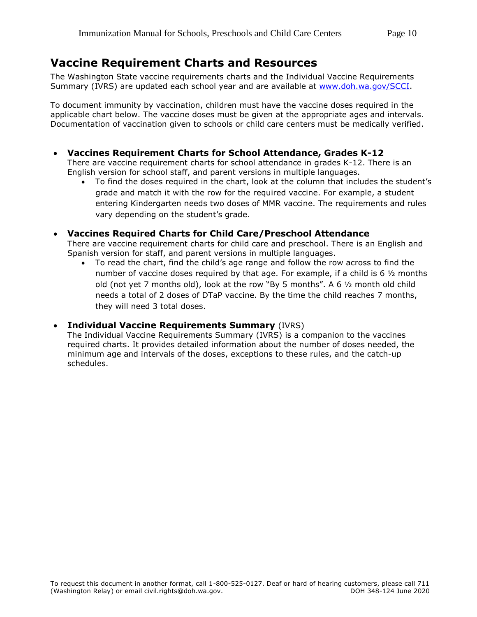### **Vaccine Requirement Charts and Resources**

The Washington State vaccine requirements charts and the Individual Vaccine Requirements Summary (IVRS) are updated each school year and are available at [www.doh.wa.gov/SCCI.](http://www.doh.wa.gov/SCCI)

To document immunity by vaccination, children must have the vaccine doses required in the applicable chart below. The vaccine doses must be given at the appropriate ages and intervals. Documentation of vaccination given to schools or child care centers must be medically verified.

**Vaccines Requirement Charts for School Attendance, Grades K-12**

There are vaccine requirement charts for school attendance in grades K-12. There is an English version for school staff, and parent versions in multiple languages.

 To find the doses required in the chart, look at the column that includes the student's grade and match it with the row for the required vaccine. For example, a student entering Kindergarten needs two doses of MMR vaccine. The requirements and rules vary depending on the student's grade.

#### **Vaccines Required Charts for Child Care/Preschool Attendance**

There are vaccine requirement charts for child care and preschool. There is an English and Spanish version for staff, and parent versions in multiple languages.

 To read the chart, find the child's age range and follow the row across to find the number of vaccine doses required by that age. For example, if a child is 6 ½ months old (not yet 7 months old), look at the row "By 5 months". A 6  $\frac{1}{2}$  month old child needs a total of 2 doses of DTaP vaccine. By the time the child reaches 7 months, they will need 3 total doses.

#### **Individual Vaccine Requirements Summary** (IVRS)

<span id="page-9-0"></span>The Individual Vaccine Requirements Summary (IVRS) is a companion to the vaccines required charts. It provides detailed information about the number of doses needed, the minimum age and intervals of the doses, exceptions to these rules, and the catch-up schedules.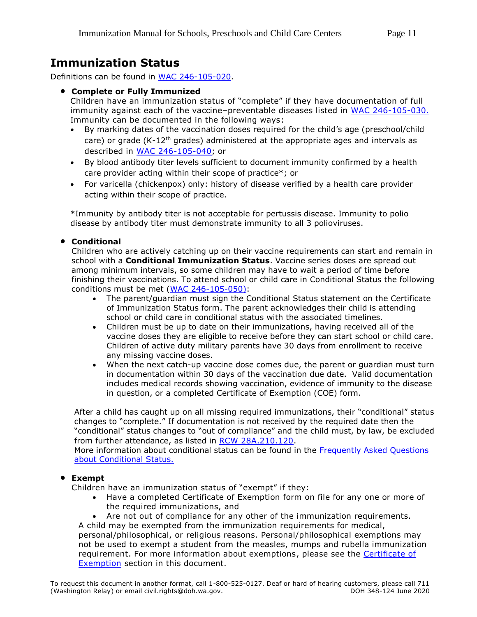## **Immunization Status**

Definitions can be found in [WAC 246-105-020.](http://app.leg.wa.gov/wac/default.aspx?cite=246-105-020)

#### **Complete or Fully Immunized**

Children have an immunization status of "complete" if they have documentation of full immunity against each of the vaccine–preventable diseases listed in [WAC 246-105-030.](http://app.leg.wa.gov/wac/default.aspx?cite=246-105-030) Immunity can be documented in the following ways:

- By marking dates of the vaccination doses required for the child's age (preschool/child care) or grade ( $K$ -12<sup>th</sup> grades) administered at the appropriate ages and intervals as described in [WAC 246-105-040;](http://app.leg.wa.gov/wac/default.aspx?cite=246-105-040) or
- By blood antibody titer levels sufficient to document immunity confirmed by a health care provider acting within their scope of practice\*; or
- For varicella (chickenpox) only: history of disease verified by a health care provider acting within their scope of practice.

\*Immunity by antibody titer is not acceptable for pertussis disease. Immunity to polio disease by antibody titer must demonstrate immunity to all 3 polioviruses.

#### **Conditional**

Children who are actively catching up on their vaccine requirements can start and remain in school with a **Conditional Immunization Status**. Vaccine series doses are spread out among minimum intervals, so some children may have to wait a period of time before finishing their vaccinations. To attend school or child care in Conditional Status the following conditions must be met [\(WAC 246-105-050\)](https://app.leg.wa.gov/wac/default.aspx?cite=246-105-050):

- The parent/guardian must sign the Conditional Status statement on the Certificate of Immunization Status form. The parent acknowledges their child is attending school or child care in conditional status with the associated timelines.
- Children must be up to date on their immunizations, having received all of the vaccine doses they are eligible to receive before they can start school or child care. Children of active duty military parents have 30 days from enrollment to receive any missing vaccine doses.
- When the next catch-up vaccine dose comes due, the parent or guardian must turn in documentation within 30 days of the vaccination due date. Valid documentation includes medical records showing vaccination, evidence of immunity to the disease in question, or a completed Certificate of Exemption (COE) form.

After a child has caught up on all missing required immunizations, their "conditional" status changes to "complete." If documentation is not received by the required date then the "conditional" status changes to "out of compliance" and the child must, by law, be excluded from further attendance, as listed in [RCW 28A.210.120.](http://app.leg.wa.gov/rcw/default.aspx?cite=28A.210.120)

More information about conditional status can be found in the [Frequently Asked Questions](https://www.doh.wa.gov/Portals/1/Documents/Pubs/348-679-ConditionalStatusFAQ.pdf)  [about Conditional Status.](https://www.doh.wa.gov/Portals/1/Documents/Pubs/348-679-ConditionalStatusFAQ.pdf)

#### **Exempt**

Children have an immunization status of "exempt" if they:

- Have a completed Certificate of Exemption form on file for any one or more of the required immunizations, and
- <span id="page-10-0"></span>Are not out of compliance for any other of the immunization requirements.

A child may be exempted from the immunization requirements for medical, personal/philosophical, or religious reasons. Personal/philosophical exemptions may not be used to exempt a student from the measles, mumps and rubella immunization requirement. For more information about exemptions, please see the [Certificate of](#page-15-0)  [Exemption](#page-15-0) section in this document.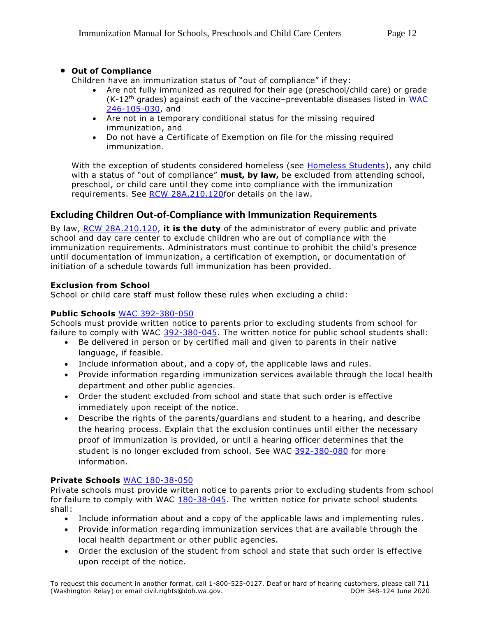#### **Out of Compliance**

Children have an immunization status of "out of compliance" if they:

- Are not fully immunized as required for their age (preschool/child care) or grade (K-12th grades) against each of the vaccine–preventable diseases listed in [WAC](http://app.leg.wa.gov/wac/default.aspx?cite=246-105-030)  [246-105-030,](http://app.leg.wa.gov/wac/default.aspx?cite=246-105-030) and
- Are not in a temporary conditional status for the missing required immunization, and
- Do not have a Certificate of Exemption on file for the missing required immunization.

With the exception of students considered homeless (see [Homeless Students\)](#page-20-0), any child with a status of "out of compliance" **must, by law,** be excluded from attending school, preschool, or child care until they come into compliance with the immunization requirements. See RCW 28A.210.120 for details on the law.

#### **Excluding Children Out-of-Compliance with Immunization Requirements**

By law, [RCW 28A.210.120,](http://app.leg.wa.gov/rcw/default.aspx?cite=28A.210.120) **it is the duty** of the administrator of every public and private school and day care center to exclude children who are out of compliance with the immunization requirements. Administrators must continue to prohibit the child's presence until documentation of immunization, a certification of exemption, or documentation of initiation of a schedule towards full immunization has been provided.

#### **Exclusion from School**

School or child care staff must follow these rules when excluding a child:

#### **Public Schools** [WAC 392-380-050](http://app.leg.wa.gov/wac/default.aspx?cite=392-380-050)

Schools must provide written notice to parents prior to excluding students from school for failure to comply with WAC [392-380-045.](http://app.leg.wa.gov/wac/default.aspx?cite=392-380-045) The written notice for public school students shall:

- Be delivered in person or by certified mail and given to parents in their native language, if feasible.
- Include information about, and a copy of, the applicable laws and rules.
- Provide information regarding immunization services available through the local health department and other public agencies.
- Order the student excluded from school and state that such order is effective immediately upon receipt of the notice.
- Describe the rights of the parents/guardians and student to a hearing, and describe the hearing process. Explain that the exclusion continues until either the necessary proof of immunization is provided, or until a hearing officer determines that the student is no longer excluded from school. See WAC [392-380-080](https://app.leg.wa.gov/wac/default.aspx?cite=392-380-080) for more information.

#### **Private Schools** WAC [180-38-050](http://app.leg.wa.gov/wac/default.aspx?cite=180-38-050)

Private schools must provide written notice to parents prior to excluding students from school for failure to comply with WAC  $180-38-045$ . The written notice for private school students shall:

- Include information about and a copy of the applicable laws and implementing rules.
- Provide information regarding immunization services that are available through the local health department or other public agencies.
- Order the exclusion of the student from school and state that such order is effective upon receipt of the notice.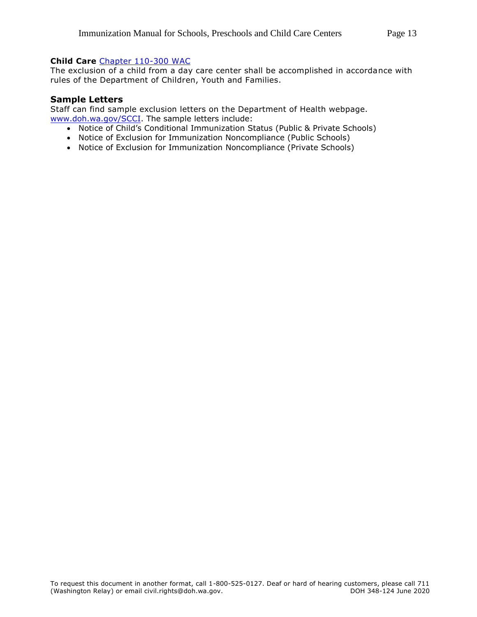#### **Child Care** [Chapter 110-300 WAC](http://app.leg.wa.gov/wac/default.aspx?cite=110-300)

The exclusion of a child from a day care center shall be accomplished in accordance with rules of the Department of Children, Youth and Families.

#### **Sample Letters**

Staff can find sample exclusion letters on the Department of Health webpage. [www.doh.wa.gov/SCCI.](http://www.doh.wa.gov/SCCI) The sample letters include:

- Notice of Child's Conditional Immunization Status (Public & Private Schools)
- Notice of Exclusion for Immunization Noncompliance (Public Schools)
- Notice of Exclusion for Immunization Noncompliance (Private Schools)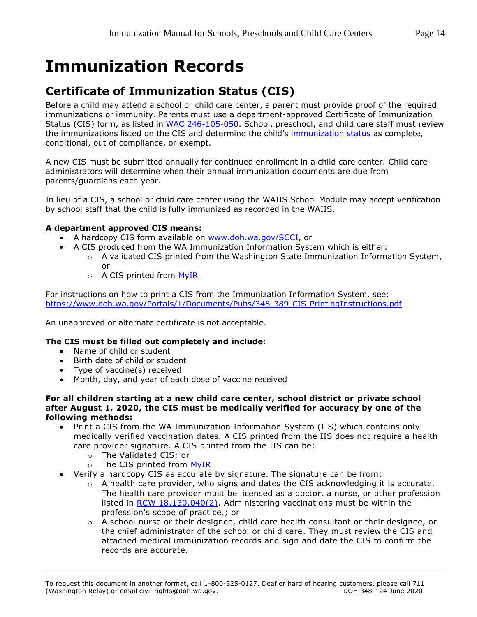## <span id="page-13-0"></span>**Immunization Records**

## **Certificate of Immunization Status (CIS)**

Before a child may attend a school or child care center, a parent must provide proof of the required immunizations or immunity. Parents must use a department-approved Certificate of Immunization Status (CIS) form, as listed in [WAC 246-105-050.](http://app.leg.wa.gov/wac/default.aspx?cite=246-105-050) School, preschool, and child care staff must review the immunizations listed on the CIS and determine the child's [immunization status](#page-9-0) as complete, conditional, out of compliance, or exempt.

A new CIS must be submitted annually for continued enrollment in a child care center. Child care administrators will determine when their annual immunization documents are due from parents/guardians each year.

In lieu of a CIS, a school or child care center using the WAIIS School Module may accept verification by school staff that the child is fully immunized as recorded in the WAIIS.

#### **A department approved CIS means:**

- A hardcopy CIS form available on [www.doh.wa.gov/SCCI,](http://www.doh.wa.gov/SCCI) or
- A CIS produced from the WA Immunization Information System which is either:
	- $\circ$  A validated CIS printed from the Washington State Immunization Information System, or
	- $\circ$  A CIS printed from MyIR

For instructions on how to print a CIS from the Immunization Information System, see: <https://www.doh.wa.gov/Portals/1/Documents/Pubs/348-389-CIS-PrintingInstructions.pdf>

An unapproved or alternate certificate is not acceptable.

#### **The CIS must be filled out completely and include:**

- Name of child or student
- Birth date of child or student
- Type of vaccine(s) received
- Month, day, and year of each dose of vaccine received

#### **For all children starting at a new child care center, school district or private school after August 1, 2020, the CIS must be medically verified for accuracy by one of the following methods:**

- Print a CIS from the WA Immunization Information System (IIS) which contains only medically verified vaccination dates. A CIS printed from the IIS does not require a health care provider signature. A CIS printed from the IIS can be:
	- o The Validated CIS; or
	- o The CIS printed from [MyIR](https://wa.myir.net/)
- Verify a hardcopy CIS as accurate by signature. The signature can be from:
	- o A health care provider, who signs and dates the CIS acknowledging it is accurate. The health care provider must be licensed as a doctor, a nurse, or other profession listed in [RCW 18.130.040\(2\).](https://app.leg.wa.gov/RCW/default.aspx?cite=18.130.040) Administering vaccinations must be within the profession's scope of practice.; or
	- $\circ$  A school nurse or their designee, child care health consultant or their designee, or the chief administrator of the school or child care. They must review the CIS and attached medical immunization records and sign and date the CIS to confirm the records are accurate.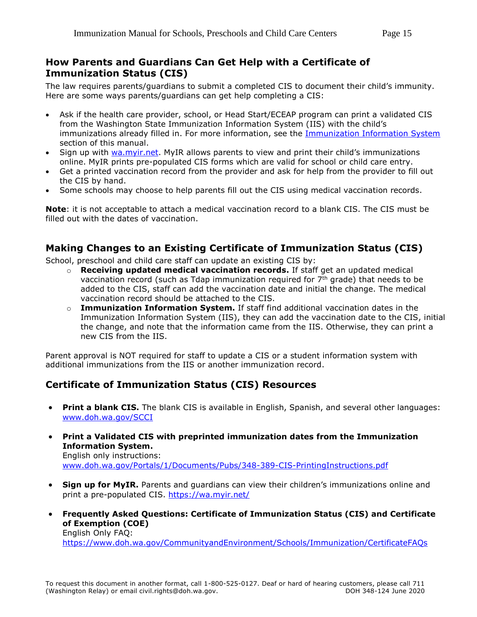#### **How Parents and Guardians Can Get Help with a Certificate of Immunization Status (CIS)**

The law requires parents/guardians to submit a completed CIS to document their child's immunity. Here are some ways parents/guardians can get help completing a CIS:

- Ask if the health care provider, school, or Head Start/ECEAP program can print a validated CIS from the Washington State Immunization Information System (IIS) with the child's immunizations already filled in. For more information, see the [Immunization Information System](#page-26-0) section of this manual.
- Sign up with [wa.myir.net.](wa.myir.net) MyIR allows parents to view and print their child's immunizations online. MyIR prints pre-populated CIS forms which are valid for school or child care entry.
- Get a printed vaccination record from the provider and ask for help from the provider to fill out the CIS by hand.
- Some schools may choose to help parents fill out the CIS using medical vaccination records.

**Note**: it is not acceptable to attach a medical vaccination record to a blank CIS. The CIS must be filled out with the dates of vaccination.

#### **Making Changes to an Existing Certificate of Immunization Status (CIS)**

School, preschool and child care staff can update an existing CIS by:

- o **Receiving updated medical vaccination records.** If staff get an updated medical vaccination record (such as Tdap immunization required for 7<sup>th</sup> grade) that needs to be added to the CIS, staff can add the vaccination date and initial the change. The medical vaccination record should be attached to the CIS.
- o **Immunization Information System.** If staff find additional vaccination dates in the Immunization Information System (IIS), they can add the vaccination date to the CIS, initial the change, and note that the information came from the IIS. Otherwise, they can print a new CIS from the IIS.

Parent approval is NOT required for staff to update a CIS or a student information system with additional immunizations from the IIS or another immunization record.

### **Certificate of Immunization Status (CIS) Resources**

- **Print a blank CIS.** The blank CIS is available in English, Spanish, and several other languages: [www.doh.wa.gov/SCCI](http://www.doh.wa.gov/SCCI)
- **Print a Validated CIS with preprinted immunization dates from the Immunization Information System.** English only instructions: [www.doh.wa.gov/Portals/1/Documents/Pubs/348-389-CIS-PrintingInstructions.pdf](http://www.doh.wa.gov/Portals/1/Documents/Pubs/348-389-CIS-PrintingInstructions.pdf)
- **Sign up for MyIR.** Parents and quardians can view their children's immunizations online and print a pre-populated CIS.<https://wa.myir.net/>
- **Frequently Asked Questions: Certificate of Immunization Status (CIS) and Certificate of Exemption (COE)** English Only FAQ:

<https://www.doh.wa.gov/CommunityandEnvironment/Schools/Immunization/CertificateFAQs>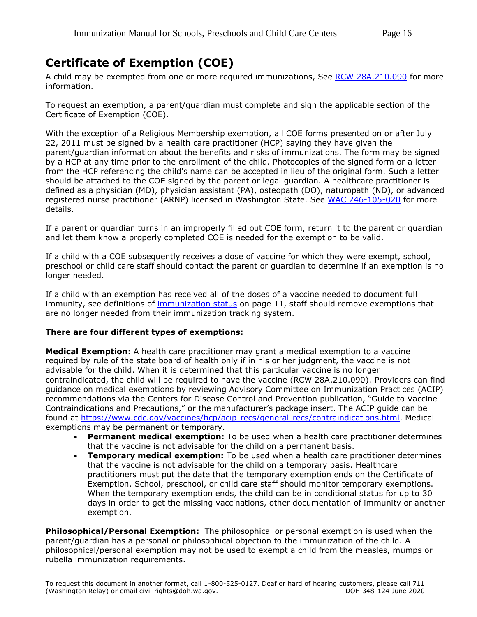## <span id="page-15-0"></span>**Certificate of Exemption (COE)**

A child may be exempted from one or more required immunizations, See [RCW 28A.210.090](http://app.leg.wa.gov/rcw/default.aspx?cite=28A.210.090) for more information.

To request an exemption, a parent/guardian must complete and sign the applicable section of the Certificate of Exemption (COE).

With the exception of a Religious Membership exemption, all COE forms presented on or after July 22, 2011 must be signed by a health care practitioner (HCP) saying they have given the parent/guardian information about the benefits and risks of immunizations. The form may be signed by a HCP at any time prior to the enrollment of the child. Photocopies of the signed form or a letter from the HCP referencing the child's name can be accepted in lieu of the original form. Such a letter should be attached to the COE signed by the parent or legal guardian. A healthcare practitioner is defined as a physician (MD), physician assistant (PA), osteopath (DO), naturopath (ND), or advanced registered nurse practitioner (ARNP) licensed in Washington State. See [WAC 246-105-020](http://app.leg.wa.gov/wac/default.aspx?cite=246-105-020) for more details.

If a parent or guardian turns in an improperly filled out COE form, return it to the parent or guardian and let them know a properly completed COE is needed for the exemption to be valid.

If a child with a COE subsequently receives a dose of vaccine for which they were exempt, school, preschool or child care staff should contact the parent or guardian to determine if an exemption is no longer needed.

If a child with an exemption has received all of the doses of a vaccine needed to document full immunity, see definitions of [immunization status](#page-9-0) on page 11, staff should remove exemptions that are no longer needed from their immunization tracking system.

#### **There are four different types of exemptions:**

**Medical Exemption:** A health care practitioner may grant a medical exemption to a vaccine required by rule of the state board of health only if in his or her judgment, the vaccine is not advisable for the child. When it is determined that this particular vaccine is no longer contraindicated, the child will be required to have the vaccine (RCW 28A.210.090). Providers can find guidance on medical exemptions by reviewing Advisory Committee on Immunization Practices (ACIP) recommendations via the Centers for Disease Control and Prevention publication, "Guide to Vaccine Contraindications and Precautions," or the manufacturer's package insert. The ACIP guide can be found at [https://www.cdc.gov/vaccines/hcp/acip-recs/general-recs/contraindications.html.](https://www.cdc.gov/vaccines/hcp/acip-recs/general-recs/contraindications.html) Medical exemptions may be permanent or temporary.

- **Permanent medical exemption:** To be used when a health care practitioner determines that the vaccine is not advisable for the child on a permanent basis.
- **Temporary medical exemption:** To be used when a health care practitioner determines that the vaccine is not advisable for the child on a temporary basis. Healthcare practitioners must put the date that the temporary exemption ends on the Certificate of Exemption. School, preschool, or child care staff should monitor temporary exemptions. When the temporary exemption ends, the child can be in conditional status for up to 30 days in order to get the missing vaccinations, other documentation of immunity or another exemption.

**Philosophical/Personal Exemption:** The philosophical or personal exemption is used when the parent/guardian has a personal or philosophical objection to the immunization of the child. A philosophical/personal exemption may not be used to exempt a child from the measles, mumps or rubella immunization requirements.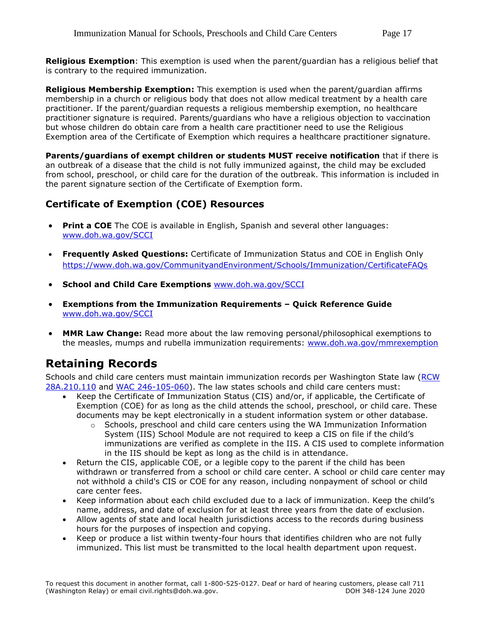**Religious Exemption**: This exemption is used when the parent/guardian has a religious belief that is contrary to the required immunization.

**Religious Membership Exemption:** This exemption is used when the parent/guardian affirms membership in a church or religious body that does not allow medical treatment by a health care practitioner. If the parent/guardian requests a religious membership exemption, no healthcare practitioner signature is required. Parents/guardians who have a religious objection to vaccination but whose children do obtain care from a health care practitioner need to use the Religious Exemption area of the Certificate of Exemption which requires a healthcare practitioner signature.

**Parents/guardians of exempt children or students MUST receive notification** that if there is an outbreak of a disease that the child is not fully immunized against, the child may be excluded from school, preschool, or child care for the duration of the outbreak. This information is included in the parent signature section of the Certificate of Exemption form.

### **Certificate of Exemption (COE) Resources**

- **Print a COE** The COE is available in English, Spanish and several other languages: [www.doh.wa.gov/SCCI](https://www.doh.wa.gov/SCCI)
- **Frequently Asked Questions:** Certificate of Immunization Status and COE in English Only <https://www.doh.wa.gov/CommunityandEnvironment/Schools/Immunization/CertificateFAQs>
- **School and Child Care Exemptions** [www.doh.wa.gov/SCCI](https://www.doh.wa.gov/SCCI)
- **Exemptions from the Immunization Requirements – Quick Reference Guide**  [www.doh.wa.gov/SCCI](https://www.doh.wa.gov/SCCI)
- **MMR Law Change:** Read more about the law removing personal/philosophical exemptions to the measles, mumps and rubella immunization requirements: [www.doh.wa.gov/mmrexemption](https://www.doh.wa.gov/CommunityandEnvironment/Schools/Immunization/ExemptionLawChange)

## **Retaining Records**

Schools and child care centers must maintain immunization records per Washington State law (RCW [28A.210.110](http://app.leg.wa.gov/rcw/default.aspx?cite=28A.210.110) and [WAC 246-105-060\)](https://app.leg.wa.gov/wac/default.aspx?cite=246-105-060). The law states schools and child care centers must:

- Keep the Certificate of Immunization Status (CIS) and/or, if applicable, the Certificate of Exemption (COE) for as long as the child attends the school, preschool, or child care. These documents may be kept electronically in a student information system or other database.
	- $\circ$  Schools, preschool and child care centers using the WA Immunization Information System (IIS) School Module are not required to keep a CIS on file if the child's immunizations are verified as complete in the IIS. A CIS used to complete information in the IIS should be kept as long as the child is in attendance.
- Return the CIS, applicable COE, or a legible copy to the parent if the child has been withdrawn or transferred from a school or child care center. A school or child care center may not withhold a child's CIS or COE for any reason, including nonpayment of school or child care center fees.
- Keep information about each child excluded due to a lack of immunization. Keep the child's name, address, and date of exclusion for at least three years from the date of exclusion.
- Allow agents of state and local health jurisdictions access to the records during business hours for the purposes of inspection and copying.
- Keep or produce a list within twenty-four hours that identifies children who are not fully immunized. This list must be transmitted to the local health department upon request.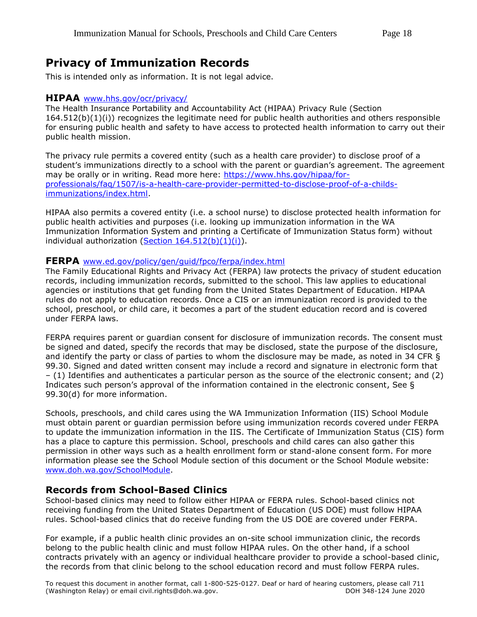## **Privacy of Immunization Records**

This is intended only as information. It is not legal advice.

#### **HIPAA** [www.hhs.gov/ocr/privacy/](http://www.hhs.gov/ocr/privacy/)

The Health Insurance Portability and Accountability Act (HIPAA) Privacy Rule (Section 164.512(b)(1)(i)) recognizes the legitimate need for public health authorities and others responsible for ensuring public health and safety to have access to protected health information to carry out their public health mission.

The privacy rule permits a covered entity (such as a health care provider) to disclose proof of a student's immunizations directly to a school with the parent or guardian's agreement. The agreement may be orally or in writing. Read more here: [https://www.hhs.gov/hipaa/for](https://www.hhs.gov/hipaa/for-professionals/faq/1507/is-a-health-care-provider-permitted-to-disclose-proof-of-a-childs-immunizations/index.html)[professionals/faq/1507/is-a-health-care-provider-permitted-to-disclose-proof-of-a-childs](https://www.hhs.gov/hipaa/for-professionals/faq/1507/is-a-health-care-provider-permitted-to-disclose-proof-of-a-childs-immunizations/index.html)[immunizations/index.html.](https://www.hhs.gov/hipaa/for-professionals/faq/1507/is-a-health-care-provider-permitted-to-disclose-proof-of-a-childs-immunizations/index.html)

HIPAA also permits a covered entity (i.e. a school nurse) to disclose protected health information for public health activities and purposes (i.e. looking up immunization information in the WA Immunization Information System and printing a Certificate of Immunization Status form) without individual authorization (Section  $164.512(b)(1)(i)$ ).

#### **FERPA** [www.ed.gov/policy/gen/guid/fpco/ferpa/index.html](http://www.ed.gov/policy/gen/guid/fpco/ferpa/index.html)

The Family Educational Rights and Privacy Act (FERPA) law protects the privacy of student education records, including immunization records, submitted to the school. This law applies to educational agencies or institutions that get funding from the United States Department of Education. HIPAA rules do not apply to education records. Once a CIS or an immunization record is provided to the school, preschool, or child care, it becomes a part of the student education record and is covered under FERPA laws.

FERPA requires parent or guardian consent for disclosure of immunization records. The consent must be signed and dated, specify the records that may be disclosed, state the purpose of the disclosure, and identify the party or class of parties to whom the disclosure may be made, as noted in 34 CFR § 99.30. Signed and dated written consent may include a record and signature in electronic form that – (1) Identifies and authenticates a particular person as the source of the electronic consent; and (2) Indicates such person's approval of the information contained in the electronic consent, See § 99.30(d) for more information.

Schools, preschools, and child cares using the WA Immunization Information (IIS) School Module must obtain parent or guardian permission before using immunization records covered under FERPA to update the immunization information in the IIS. The Certificate of Immunization Status (CIS) form has a place to capture this permission. School, preschools and child cares can also gather this permission in other ways such as a health enrollment form or stand-alone consent form. For more information please see the School Module section of this document or the School Module website: [www.doh.wa.gov/SchoolModule.](http://www.doh.wa.gov/SchoolModule)

#### **Records from School-Based Clinics**

School-based clinics may need to follow either HIPAA or FERPA rules. School-based clinics not receiving funding from the United States Department of Education (US DOE) must follow HIPAA rules. School-based clinics that do receive funding from the US DOE are covered under FERPA.

For example, if a public health clinic provides an on-site school immunization clinic, the records belong to the public health clinic and must follow HIPAA rules. On the other hand, if a school contracts privately with an agency or individual healthcare provider to provide a school-based clinic, the records from that clinic belong to the school education record and must follow FERPA rules.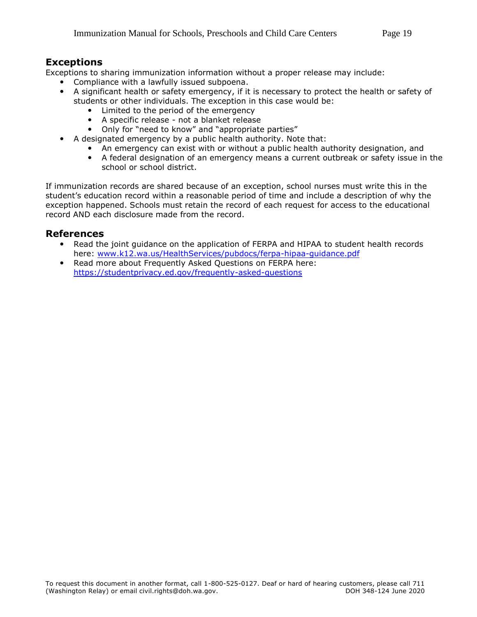#### **Exceptions**

Exceptions to sharing immunization information without a proper release may include:

- Compliance with a lawfully issued subpoena.
	- A significant health or safety emergency, if it is necessary to protect the health or safety of students or other individuals. The exception in this case would be:
		- Limited to the period of the emergency
		- A specific release not a blanket release
		- Only for "need to know" and "appropriate parties"
	- A designated emergency by a public health authority. Note that:
		- An emergency can exist with or without a public health authority designation, and
		- A federal designation of an emergency means a current outbreak or safety issue in the school or school district.

If immunization records are shared because of an exception, school nurses must write this in the student's education record within a reasonable period of time and include a description of why the exception happened. Schools must retain the record of each request for access to the educational record AND each disclosure made from the record.

#### **References**

- Read the joint guidance on the application of FERPA and HIPAA to student health records here: [www.k12.wa.us/HealthServices/pubdocs/ferpa-hipaa-guidance.pdf](http://www.k12.wa.us/HealthServices/pubdocs/ferpa-hipaa-guidance.pdf)
- Read more about Frequently Asked Questions on FERPA here: <https://studentprivacy.ed.gov/frequently-asked-questions>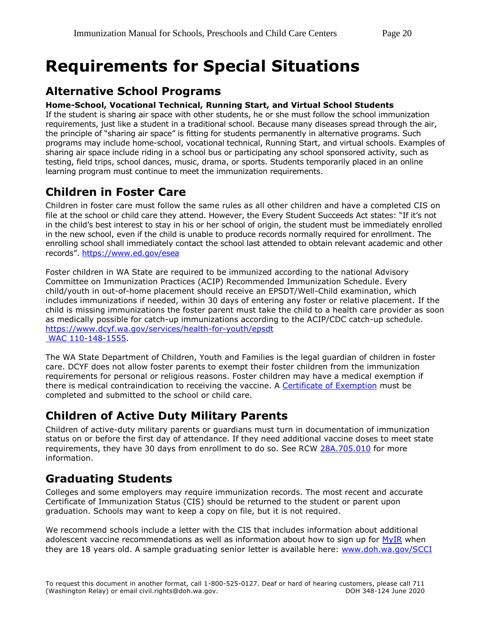## <span id="page-19-0"></span>**Requirements for Special Situations**

## **Alternative School Programs**

#### **Home-School, Vocational Technical, Running Start, and Virtual School Students**

If the student is sharing air space with other students, he or she must follow the school immunization requirements, just like a student in a traditional school. Because many diseases spread through the air, the principle of "sharing air space" is fitting for students permanently in alternative programs. Such programs may include home-school, vocational technical, Running Start, and virtual schools. Examples of sharing air space include riding in a school bus or participating any school sponsored activity, such as testing, field trips, school dances, music, drama, or sports. Students temporarily placed in an online learning program must continue to meet the immunization requirements.

## **Children in Foster Care**

Children in foster care must follow the same rules as all other children and have a completed CIS on file at the school or child care they attend. However, the Every Student Succeeds Act states: "If it's not in the child's best interest to stay in his or her school of origin, the student must be immediately enrolled in the new school, even if the child is unable to produce records normally required for enrollment. The enrolling school shall immediately contact the school last attended to obtain relevant academic and other records". <https://www.ed.gov/esea>

Foster children in WA State are required to be immunized according to the national Advisory Committee on Immunization Practices (ACIP) Recommended Immunization Schedule. Every child/youth in out-of-home placement should receive an EPSDT/Well-Child examination, which includes immunizations if needed, within 30 days of entering any foster or relative placement. If the child is missing immunizations the foster parent must take the child to a health care provider as soon as medically possible for catch-up immunizations according to the ACIP/CDC catch-up schedule. <https://www.dcyf.wa.gov/services/health-for-youth/epsdt> [WAC 110-148-1555.](https://apps.leg.wa.gov/wac/default.aspx?cite=110-148-1555)

The WA State Department of Children, Youth and Families is the legal guardian of children in foster care. DCYF does not allow foster parents to exempt their foster children from the immunization requirements for personal or religious reasons. Foster children may have a medical exemption if there is medical contraindication to receiving the vaccine. A [Certificate of Exemption](https://www.doh.wa.gov/CommunityandEnvironment/Schools/Immunization#exempt) must be completed and submitted to the school or child care.

## **Children of Active Duty Military Parents**

Children of active-duty military parents or guardians must turn in documentation of immunization status on or before the first day of attendance. If they need additional vaccine doses to meet state requirements, they have 30 days from enrollment to do so. See RCW [28A.705.010](http://app.leg.wa.gov/RCW/default.aspx?cite=28A.705.010) for more information.

## **Graduating Students**

Colleges and some employers may require immunization records. The most recent and accurate Certificate of Immunization Status (CIS) should be returned to the student or parent upon graduation. Schools may want to keep a copy on file, but it is not required.

We recommend schools include a letter with the CIS that includes information about additional adolescent vaccine recommendations as well as information about how to sign up for [MyIR](#page-26-0) when they are 18 years old. A sample graduating senior letter is available here: [www.doh.wa.gov/SCCI](https://www.doh.wa.gov/SCCI)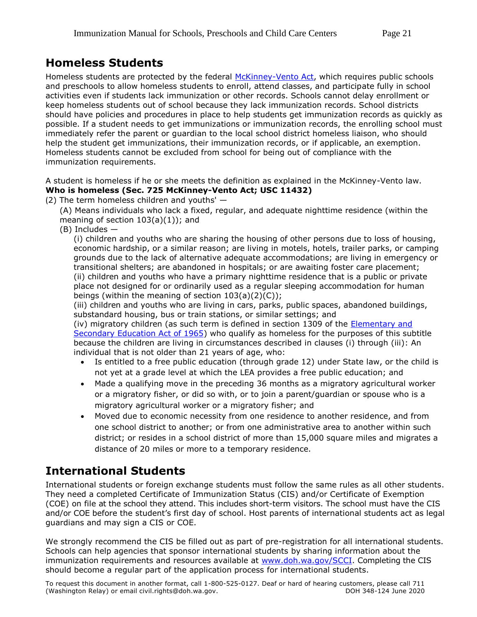## <span id="page-20-0"></span>**Homeless Students**

Homeless students are protected by the federal [McKinney-Vento Act,](https://www2.ed.gov/policy/elsec/leg/esea02/pg116.html) which requires public schools and preschools to allow homeless students to enroll, attend classes, and participate fully in school activities even if students lack immunization or other records. Schools cannot delay enrollment or keep homeless students out of school because they lack immunization records. School districts should have policies and procedures in place to help students get immunization records as quickly as possible. If a student needs to get immunizations or immunization records, the enrolling school must immediately refer the parent or guardian to the local school district homeless liaison, who should help the student get immunizations, their immunization records, or if applicable, an exemption. Homeless students cannot be excluded from school for being out of compliance with the immunization requirements.

A student is homeless if he or she meets the definition as explained in the McKinney-Vento law. **Who is homeless (Sec. 725 McKinney-Vento Act; USC 11432)** 

(2) The term homeless children and youths' —

(A) Means individuals who lack a fixed, regular, and adequate nighttime residence (within the meaning of section  $103(a)(1)$ ; and

(B) Includes —

(i) children and youths who are sharing the housing of other persons due to loss of housing, economic hardship, or a similar reason; are living in motels, hotels, trailer parks, or camping grounds due to the lack of alternative adequate accommodations; are living in emergency or transitional shelters; are abandoned in hospitals; or are awaiting foster care placement; (ii) children and youths who have a primary nighttime residence that is a public or private place not designed for or ordinarily used as a regular sleeping accommodation for human beings (within the meaning of section  $103(a)(2)(C)$ );

(iii) children and youths who are living in cars, parks, public spaces, abandoned buildings, substandard housing, bus or train stations, or similar settings; and

(iv) migratory children (as such term is defined in section 1309 of the [Elementary and](https://results-assets.s3.amazonaws.com/legislation/MEP%20Non%20Regulatory%20Guidance%20March%202017.docx)  [Secondary Education Act of 1965\)](https://results-assets.s3.amazonaws.com/legislation/MEP%20Non%20Regulatory%20Guidance%20March%202017.docx) who qualify as homeless for the purposes of this subtitle because the children are living in circumstances described in clauses (i) through (iii): An individual that is not older than 21 years of age, who:

- Is entitled to a free public education (through grade 12) under State law, or the child is not yet at a grade level at which the LEA provides a free public education; and
- Made a qualifying move in the preceding 36 months as a migratory agricultural worker or a migratory fisher, or did so with, or to join a parent/guardian or spouse who is a migratory agricultural worker or a migratory fisher; and
- Moved due to economic necessity from one residence to another residence, and from one school district to another; or from one administrative area to another within such district; or resides in a school district of more than 15,000 square miles and migrates a distance of 20 miles or more to a temporary residence.

## **International Students**

International students or foreign exchange students must follow the same rules as all other students. They need a completed Certificate of Immunization Status (CIS) and/or Certificate of Exemption (COE) on file at the school they attend. This includes short-term visitors. The school must have the CIS and/or COE before the student's first day of school. Host parents of international students act as legal guardians and may sign a CIS or COE.

We strongly recommend the CIS be filled out as part of pre-registration for all international students. Schools can help agencies that sponsor international students by sharing information about the immunization requirements and resources available at [www.doh.wa.gov/SCCI.](http://www.doh.wa.gov/SCCI) Completing the CIS should become a regular part of the application process for international students.

To request this document in another format, call 1-800-525-0127. Deaf or hard of hearing customers, please call 711 (Washington Relay) or email civil.rights@doh.wa.gov. DOH 348-124 June 2020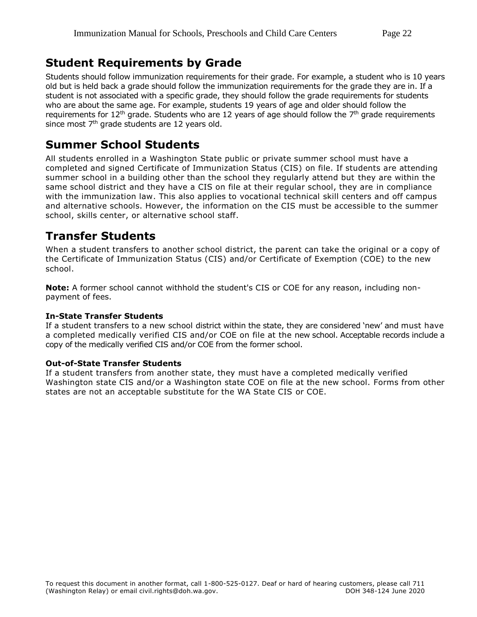### **Student Requirements by Grade**

Students should follow immunization requirements for their grade. For example, a student who is 10 years old but is held back a grade should follow the immunization requirements for the grade they are in. If a student is not associated with a specific grade, they should follow the grade requirements for students who are about the same age. For example, students 19 years of age and older should follow the requirements for 12<sup>th</sup> grade. Students who are 12 years of age should follow the 7<sup>th</sup> grade requirements since most 7<sup>th</sup> grade students are 12 years old.

### **Summer School Students**

All students enrolled in a Washington State public or private summer school must have a completed and signed Certificate of Immunization Status (CIS) on file. If students are attending summer school in a building other than the school they regularly attend but they are within the same school district and they have a CIS on file at their regular school, they are in compliance with the immunization law. This also applies to vocational technical skill centers and off campus and alternative schools. However, the information on the CIS must be accessible to the summer school, skills center, or alternative school staff.

## **Transfer Students**

When a student transfers to another school district, the parent can take the original or a copy of the Certificate of Immunization Status (CIS) and/or Certificate of Exemption (COE) to the new school.

**Note:** A former school cannot withhold the student's CIS or COE for any reason, including nonpayment of fees.

#### **In-State Transfer Students**

If a student transfers to a new school district within the state, they are considered 'new' and must have a completed medically verified CIS and/or COE on file at the new school. Acceptable records include a copy of the medically verified CIS and/or COE from the former school.

#### **Out-of-State Transfer Students**

If a student transfers from another state, they must have a completed medically verified Washington state CIS and/or a Washington state COE on file at the new school. Forms from other states are not an acceptable substitute for the WA State CIS or COE.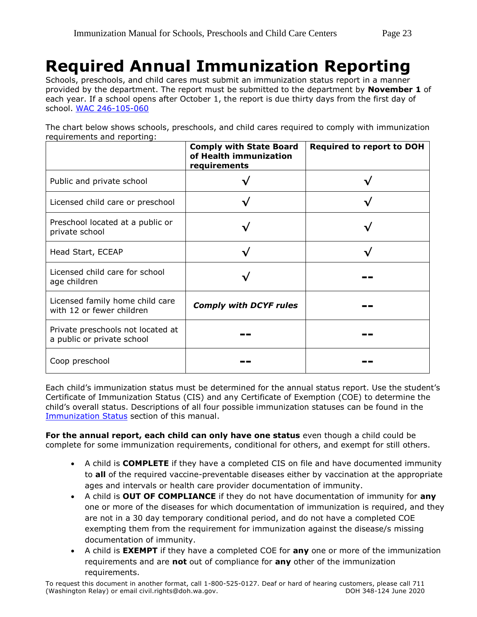## <span id="page-22-0"></span>**Required Annual Immunization Reporting**

Schools, preschools, and child cares must submit an immunization status report in a manner provided by the department. The report must be submitted to the department by **November 1** of each year. If a school opens after October 1, the report is due thirty days from the first day of school. [WAC 246-105-060](http://app.leg.wa.gov/wac/default.aspx?cite=246-105-060)

The chart below shows schools, preschools, and child cares required to comply with immunization requirements and reporting:

|                                                                 | <b>Comply with State Board</b><br>of Health immunization<br>requirements | <b>Required to report to DOH</b> |
|-----------------------------------------------------------------|--------------------------------------------------------------------------|----------------------------------|
| Public and private school                                       |                                                                          |                                  |
| Licensed child care or preschool                                |                                                                          |                                  |
| Preschool located at a public or<br>private school              |                                                                          |                                  |
| Head Start, ECEAP                                               |                                                                          |                                  |
| Licensed child care for school<br>age children                  |                                                                          |                                  |
| Licensed family home child care<br>with 12 or fewer children    | <b>Comply with DCYF rules</b>                                            |                                  |
| Private preschools not located at<br>a public or private school |                                                                          |                                  |
| Coop preschool                                                  |                                                                          |                                  |

Each child's immunization status must be determined for the annual status report. Use the student's Certificate of Immunization Status (CIS) and any Certificate of Exemption (COE) to determine the child's overall status. Descriptions of all four possible immunization statuses can be found in the [Immunization Status](#page-9-0) section of this manual.

**For the annual report, each child can only have one status** even though a child could be complete for some immunization requirements, conditional for others, and exempt for still others.

- A child is **COMPLETE** if they have a completed CIS on file and have documented immunity to **all** of the required vaccine-preventable diseases either by vaccination at the appropriate ages and intervals or health care provider documentation of immunity.
- A child is **OUT OF COMPLIANCE** if they do not have documentation of immunity for **any**  one or more of the diseases for which documentation of immunization is required, and they are not in a 30 day temporary conditional period, and do not have a completed COE exempting them from the requirement for immunization against the disease/s missing documentation of immunity.
- A child is **EXEMPT** if they have a completed COE for **any** one or more of the immunization requirements and are **not** out of compliance for **any** other of the immunization requirements.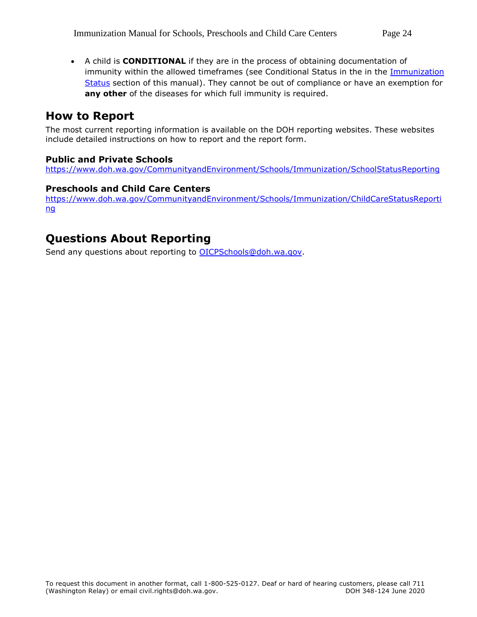A child is **CONDITIONAL** if they are in the process of obtaining documentation of immunity within the allowed timeframes (see Conditional Status in the in the Immunization [Status](#page-9-0) section of this manual). They cannot be out of compliance or have an exemption for **any other** of the diseases for which full immunity is required.

### **How to Report**

The most current reporting information is available on the DOH reporting websites. These websites include detailed instructions on how to report and the report form.

#### **Public and Private Schools**

<https://www.doh.wa.gov/CommunityandEnvironment/Schools/Immunization/SchoolStatusReporting>

#### **Preschools and Child Care Centers**

[https://www.doh.wa.gov/CommunityandEnvironment/Schools/Immunization/ChildCareStatusReporti](https://www.doh.wa.gov/CommunityandEnvironment/Schools/Immunization/ChildCareStatusReporting) [ng](https://www.doh.wa.gov/CommunityandEnvironment/Schools/Immunization/ChildCareStatusReporting)

### **Questions About Reporting**

Send any questions about reporting to **OICPSchools@doh.wa.gov.**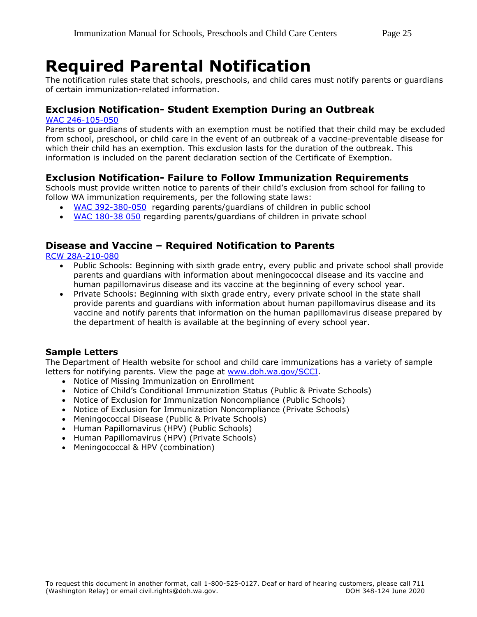## <span id="page-24-0"></span>**Required Parental Notification**

The notification rules state that schools, preschools, and child cares must notify parents or guardians of certain immunization-related information.

#### **Exclusion Notification- Student Exemption During an Outbreak**

#### [WAC 246-105-050](http://apps.leg.wa.gov/WAC/default.aspx?cite=246-105-050)

Parents or guardians of students with an exemption must be notified that their child may be excluded from school, preschool, or child care in the event of an outbreak of a vaccine-preventable disease for which their child has an exemption. This exclusion lasts for the duration of the outbreak. This information is included on the parent declaration section of the Certificate of Exemption.

#### **Exclusion Notification- Failure to Follow Immunization Requirements**

Schools must provide written notice to parents of their child's exclusion from school for failing to follow WA immunization requirements, per the following state laws:

- [WAC 392-380-050](http://apps.leg.wa.gov/WAC/default.aspx?cite=392-380-050) regarding parents/guardians of children in public school
- [WAC 180-38 050](http://app.leg.wa.gov/wac/default.aspx?cite=180-38-050) regarding parents/guardians of children in private school

#### **Disease and Vaccine – Required Notification to Parents**

[RCW 28A-210-080](http://apps.leg.wa.gov/RCW/default.aspx?cite=28A.210.080)

- Public Schools: Beginning with sixth grade entry, every public and private school shall provide parents and guardians with information about meningococcal disease and its vaccine and human papillomavirus disease and its vaccine at the beginning of every school year.
- Private Schools: Beginning with sixth grade entry, every private school in the state shall provide parents and guardians with information about human papillomavirus disease and its vaccine and notify parents that information on the human papillomavirus disease prepared by the department of health is available at the beginning of every school year.

#### **Sample Letters**

The Department of Health website for school and child care immunizations has a variety of sample letters for notifying parents. View the page at [www.doh.wa.gov/SCCI.](https://www.doh.wa.gov/SCCI)

- Notice of Missing Immunization on Enrollment
- Notice of Child's Conditional Immunization Status (Public & Private Schools)
- Notice of Exclusion for Immunization Noncompliance (Public Schools)
- Notice of Exclusion for Immunization Noncompliance (Private Schools)
- Meningococcal Disease (Public & Private Schools)
- Human Papillomavirus (HPV) (Public Schools)
- Human Papillomavirus (HPV) (Private Schools)
- Meningococcal & HPV (combination)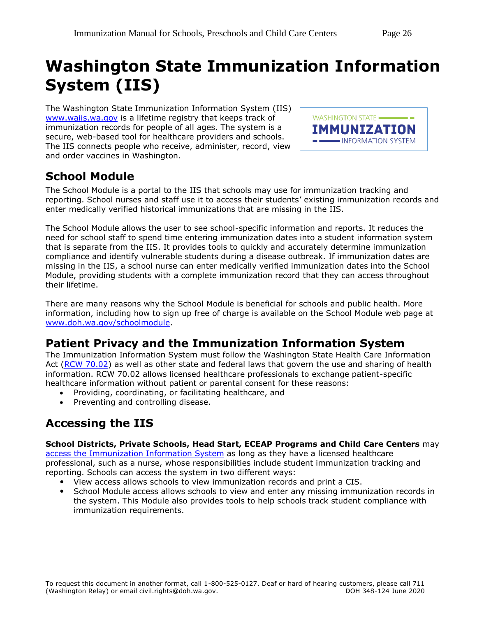## <span id="page-25-0"></span>**Washington State Immunization Information System (IIS)**

The Washington State Immunization Information System (IIS) [www.waiis.wa.gov](https://fortress.wa.gov/doh/cpir/iweb/) is a lifetime registry that keeps track of immunization records for people of all ages. The system is a secure, web-based tool for healthcare providers and schools. The IIS connects people who receive, administer, record, view and order vaccines in Washington.



## **School Module**

The School Module is a portal to the IIS that schools may use for immunization tracking and reporting. School nurses and staff use it to access their students' existing immunization records and enter medically verified historical immunizations that are missing in the IIS.

The School Module allows the user to see school-specific information and reports. It reduces the need for school staff to spend time entering immunization dates into a student information system that is separate from the IIS. It provides tools to quickly and accurately determine immunization compliance and identify vulnerable students during a disease outbreak. If immunization dates are missing in the IIS, a school nurse can enter medically verified immunization dates into the School Module, providing students with a complete immunization record that they can access throughout their lifetime.

There are many reasons why the School Module is beneficial for schools and public health. More information, including how to sign up free of charge is available on the School Module web page at [www.doh.wa.gov/schoolmodule.](https://doh.sp.wa.gov/sites/EXT/siw/School%20Immunization%20Doc%20Library/www.doh.wa.gov/schoolmodule)

## **Patient Privacy and the Immunization Information System**

The Immunization Information System must follow the Washington State Health Care Information Act [\(RCW 70.02\)](http://apps.leg.wa.gov/RCW/default.aspx?cite=70.02) as well as other state and federal laws that govern the use and sharing of health information. RCW 70.02 allows licensed healthcare professionals to exchange patient-specific healthcare information without patient or parental consent for these reasons:

- Providing, coordinating, or facilitating healthcare, and
- Preventing and controlling disease.

## **Accessing the IIS**

#### **School Districts, Private Schools, Head Start, ECEAP Programs and Child Care Centers** may

[access the Immunization Information System](https://www.doh.wa.gov/ForPublicHealthandHealthcareProviders/HealthcareProfessionsandFacilities/DataReportingandRetrieval/ImmunizationInformationSystem/ForSchoolsandEarlyLearningPrograms) as long as they have a licensed healthcare professional, such as a nurse, whose responsibilities include student immunization tracking and reporting. Schools can access the system in two different ways:

- View access allows schools to view immunization records and print a CIS.
- School Module access allows schools to view and enter any missing immunization records in the system. This Module also provides tools to help schools track student compliance with immunization requirements.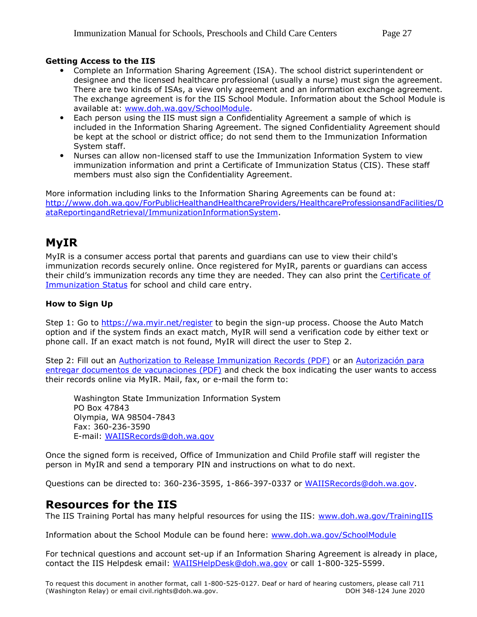#### **Getting Access to the IIS**

- Complete an Information Sharing Agreement (ISA). The school district superintendent or designee and the licensed healthcare professional (usually a nurse) must sign the agreement. There are two kinds of ISAs, a view only agreement and an information exchange agreement. The exchange agreement is for the IIS School Module. Information about the School Module is available at: [www.doh.wa.gov/SchoolModule.](http://www.doh.wa.gov/SchoolModule)
- Each person using the IIS must sign a Confidentiality Agreement a sample of which is included in the Information Sharing Agreement. The signed Confidentiality Agreement should be kept at the school or district office; do not send them to the Immunization Information System staff.
- Nurses can allow non-licensed staff to use the Immunization Information System to view immunization information and print a Certificate of Immunization Status (CIS). These staff members must also sign the Confidentiality Agreement.

More information including links to the Information Sharing Agreements can be found at: [http://www.doh.wa.gov/ForPublicHealthandHealthcareProviders/HealthcareProfessionsandFacilities/D](http://www.doh.wa.gov/ForPublicHealthandHealthcareProviders/HealthcareProfessionsandFacilities/DataReportingandRetrieval/ImmunizationInformationSystem) [ataReportingandRetrieval/ImmunizationInformationSystem.](http://www.doh.wa.gov/ForPublicHealthandHealthcareProviders/HealthcareProfessionsandFacilities/DataReportingandRetrieval/ImmunizationInformationSystem)

### <span id="page-26-0"></span>**MyIR**

MyIR is a consumer access portal that parents and guardians can use to view their child's immunization records securely online. Once registered for MyIR, parents or guardians can access their child's immunization records any time they are needed. They can also print the Certificate of Immunization Status for school and child care entry.

#### **How to Sign Up**

Step 1: Go to<https://wa.myir.net/register> to begin the sign-up process. Choose the Auto Match option and if the system finds an exact match, MyIR will send a verification code by either text or phone call. If an exact match is not found, MyIR will direct the user to Step 2.

Step 2: Fill out an [Authorization to Release Immunization Records \(PDF\)](https://www.doh.wa.gov/Portals/1/Documents/Pubs/348-367-IISAuthorizationForm.pdf) or an [Autorización para](https://www.doh.wa.gov/Portals/1/Documents/Pubs/348-367-IISAuthorizationFormSP.pdf)  [entregar documentos de vacunaciones \(PDF\)](https://www.doh.wa.gov/Portals/1/Documents/Pubs/348-367-IISAuthorizationFormSP.pdf) and check the box indicating the user wants to access their records online via MyIR. Mail, fax, or e-mail the form to:

Washington State Immunization Information System PO Box 47843 Olympia, WA 98504-7843 Fax: 360-236-3590 E-mail: [WAIISRecords@doh.wa.gov](mailto:WAIISRecords@doh.wa.gov)

Once the signed form is received, Office of Immunization and Child Profile staff will register the person in MyIR and send a temporary PIN and instructions on what to do next.

Questions can be directed to: 360-236-3595, 1-866-397-0337 or [WAIISRecords@doh.wa.gov.](mailto:WAIISRecords@doh.wa.gov)

#### **Resources for the IIS**

The IIS Training Portal has many helpful resources for using the IIS: [www.doh.wa.gov/TrainingIIS](http://www.doh.wa.gov/TrainingIIS)

Information about the School Module can be found here: [www.doh.wa.gov/SchoolModule](http://www.doh.wa.gov/SchoolModule)

For technical questions and account set-up if an Information Sharing Agreement is already in place, contact the IIS Helpdesk email: [WAIISHelpDesk@doh.wa.gov](mailto:WAIISHelpDesk@doh.wa.gov) or call 1-800-325-5599.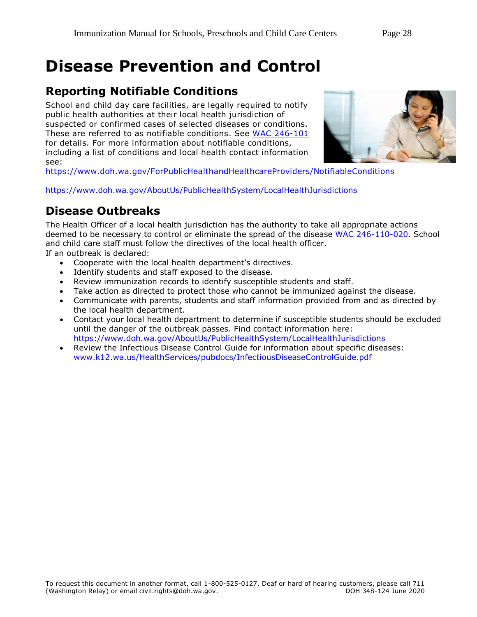## <span id="page-27-0"></span>**Disease Prevention and Control**

## **Reporting Notifiable Conditions**

School and child day care facilities, are legally required to notify public health authorities at their local health jurisdiction of suspected or confirmed cases of selected diseases or conditions. These are referred to as notifiable conditions. See [WAC 246-101](http://app.leg.wa.gov/wac/default.aspx?cite=246-101) for details. For more information about notifiable conditions, including a list of conditions and local health contact information see:



<https://www.doh.wa.gov/ForPublicHealthandHealthcareProviders/NotifiableConditions>

<https://www.doh.wa.gov/AboutUs/PublicHealthSystem/LocalHealthJurisdictions>

## **Disease Outbreaks**

The Health Officer of a local health jurisdiction has the authority to take all appropriate actions deemed to be necessary to control or eliminate the spread of the disease [WAC 246-110-020.](http://apps.leg.wa.gov/wac/default.aspx?cite=246-110-020) School and child care staff must follow the directives of the local health officer.

If an outbreak is declared:

- Cooperate with the local health department's directives.
- Identify students and staff exposed to the disease.
- Review immunization records to identify susceptible students and staff.
- Take action as directed to protect those who cannot be immunized against the disease.
- Communicate with parents, students and staff information provided from and as directed by the local health department.
- Contact your local health department to determine if susceptible students should be excluded until the danger of the outbreak passes. Find contact information here: <https://www.doh.wa.gov/AboutUs/PublicHealthSystem/LocalHealthJurisdictions>
- Review the Infectious Disease Control Guide for information about specific diseases: [www.k12.wa.us/HealthServices/pubdocs/InfectiousDiseaseControlGuide.pdf](http://www.k12.wa.us/HealthServices/pubdocs/InfectiousDiseaseControlGuide.pdf)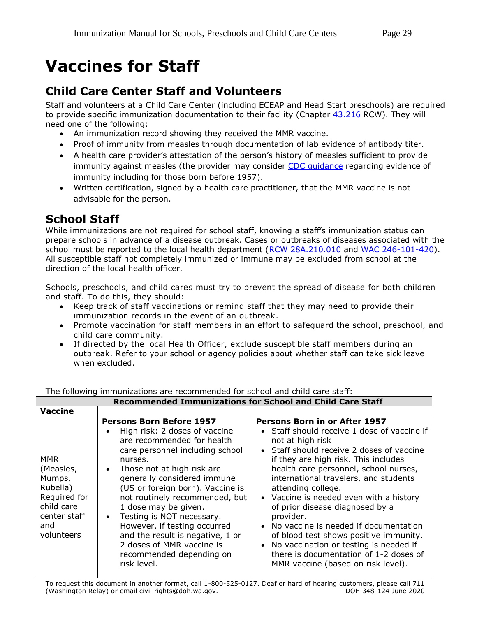## <span id="page-28-0"></span>**Vaccines for Staff**

## **Child Care Center Staff and Volunteers**

Staff and volunteers at a Child Care Center (including ECEAP and Head Start preschools) are required to provide specific immunization documentation to their facility (Chapter [43.216](http://app.leg.wa.gov/RCW/default.aspx?cite=43.216) RCW). They will need one of the following:

- An immunization record showing they received the MMR vaccine.
- Proof of immunity from measles through documentation of lab evidence of antibody titer.
- A health care provider's attestation of the person's history of measles sufficient to provide immunity against measles (the provider may consider [CDC guidance](https://www.cdc.gov/measles/hcp/index.html) regarding evidence of immunity including for those born before 1957).
- Written certification, signed by a health care practitioner, that the MMR vaccine is not advisable for the person.

## **School Staff**

While immunizations are not required for school staff, knowing a staff's immunization status can prepare schools in advance of a disease outbreak. Cases or outbreaks of diseases associated with the school must be reported to the local health department [\(RCW 28A.210.010](http://app.leg.wa.gov/rcw/default.aspx?cite=28A.210.010) and [WAC 246-101-420\)](http://app.leg.wa.gov/wac/default.aspx?cite=246-101-420). All susceptible staff not completely immunized or immune may be excluded from school at the direction of the local health officer.

Schools, preschools, and child cares must try to prevent the spread of disease for both children and staff. To do this, they should:

- Keep track of staff vaccinations or remind staff that they may need to provide their immunization records in the event of an outbreak.
- Promote vaccination for staff members in an effort to safeguard the school, preschool, and child care community.
- If directed by the local Health Officer, exclude susceptible staff members during an outbreak. Refer to your school or agency policies about whether staff can take sick leave when excluded.

| RECOMMIENDED TIMMUNIZATIONS TOT SCHOOL AND CHIND CALE STATE                                               |                                                                                                                                                                                                                                                                                                                                                                                                                                                            |                                                                                                                                                                                                                                                                                                                                                                                                                                                                                                                                                                    |
|-----------------------------------------------------------------------------------------------------------|------------------------------------------------------------------------------------------------------------------------------------------------------------------------------------------------------------------------------------------------------------------------------------------------------------------------------------------------------------------------------------------------------------------------------------------------------------|--------------------------------------------------------------------------------------------------------------------------------------------------------------------------------------------------------------------------------------------------------------------------------------------------------------------------------------------------------------------------------------------------------------------------------------------------------------------------------------------------------------------------------------------------------------------|
| <b>Vaccine</b>                                                                                            |                                                                                                                                                                                                                                                                                                                                                                                                                                                            |                                                                                                                                                                                                                                                                                                                                                                                                                                                                                                                                                                    |
|                                                                                                           | <b>Persons Born Before 1957</b>                                                                                                                                                                                                                                                                                                                                                                                                                            | Persons Born in or After 1957                                                                                                                                                                                                                                                                                                                                                                                                                                                                                                                                      |
| MMR<br>(Measles,<br>Mumps,<br>Rubella)<br>Required for<br>child care<br>center staff<br>and<br>volunteers | High risk: 2 doses of vaccine<br>are recommended for health<br>care personnel including school<br>nurses.<br>Those not at high risk are<br>generally considered immune<br>(US or foreign born). Vaccine is<br>not routinely recommended, but<br>1 dose may be given.<br>Testing is NOT necessary.<br>$\bullet$<br>However, if testing occurred<br>and the result is negative, 1 or<br>2 doses of MMR vaccine is<br>recommended depending on<br>risk level. | Staff should receive 1 dose of vaccine if<br>not at high risk<br>Staff should receive 2 doses of vaccine<br>if they are high risk. This includes<br>health care personnel, school nurses,<br>international travelers, and students<br>attending college.<br>• Vaccine is needed even with a history<br>of prior disease diagnosed by a<br>provider.<br>• No vaccine is needed if documentation<br>of blood test shows positive immunity.<br>No vaccination or testing is needed if<br>there is documentation of 1-2 doses of<br>MMR vaccine (based on risk level). |

The following immunizations are recommended for school and child care staff: **Recommended Immunizations for School and Child Care Staff**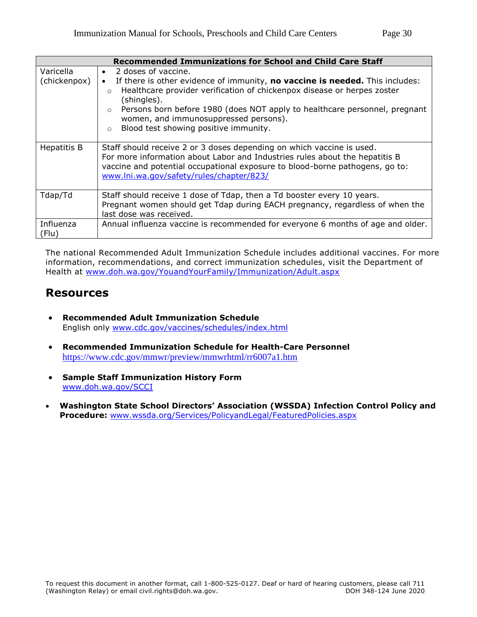| <b>Recommended Immunizations for School and Child Care Staff</b> |                                                                                                                                                                                                                                                                                                                                                                                                             |  |
|------------------------------------------------------------------|-------------------------------------------------------------------------------------------------------------------------------------------------------------------------------------------------------------------------------------------------------------------------------------------------------------------------------------------------------------------------------------------------------------|--|
| Varicella<br>(chickenpox)                                        | 2 doses of vaccine.<br>$\bullet$<br>If there is other evidence of immunity, no vaccine is needed. This includes:<br>Healthcare provider verification of chickenpox disease or herpes zoster<br>$\circ$<br>(shingles).<br>Persons born before 1980 (does NOT apply to healthcare personnel, pregnant<br>$\circ$<br>women, and immunosuppressed persons).<br>Blood test showing positive immunity.<br>$\circ$ |  |
| <b>Hepatitis B</b>                                               | Staff should receive 2 or 3 doses depending on which vaccine is used.<br>For more information about Labor and Industries rules about the hepatitis B<br>vaccine and potential occupational exposure to blood-borne pathogens, go to:<br>www.lni.wa.gov/safety/rules/chapter/823/                                                                                                                            |  |
| Tdap/Td                                                          | Staff should receive 1 dose of Tdap, then a Td booster every 10 years.<br>Pregnant women should get Tdap during EACH pregnancy, regardless of when the<br>last dose was received.                                                                                                                                                                                                                           |  |
| Influenza<br>(Flu)                                               | Annual influenza vaccine is recommended for everyone 6 months of age and older.                                                                                                                                                                                                                                                                                                                             |  |

The national Recommended Adult Immunization Schedule includes additional vaccines. For more information, recommendations, and correct immunization schedules, visit the Department of Health at [www.doh.wa.gov/YouandYourFamily/Immunization/Adult.aspx](http://www.doh.wa.gov/YouandYourFamily/Immunization/Adult.aspx)

### **Resources**

- **Recommended Adult Immunization Schedule**  English only [www.cdc.gov/vaccines/schedules/index.html](http://www.cdc.gov/vaccines/schedules/index.html)
- **Recommended Immunization Schedule for Health-Care Personnel** <https://www.cdc.gov/mmwr/preview/mmwrhtml/rr6007a1.htm>
- **Sample Staff Immunization History Form** [www.doh.wa.gov/SCCI](http://www.doh.wa.gov/SCCI)
- **Washington State School Directors' Association (WSSDA) Infection Control Policy and Procedure:** [www.wssda.org/Services/PolicyandLegal/FeaturedPolicies.aspx](http://www.wssda.org/Services/PolicyandLegal/FeaturedPolicies.aspx)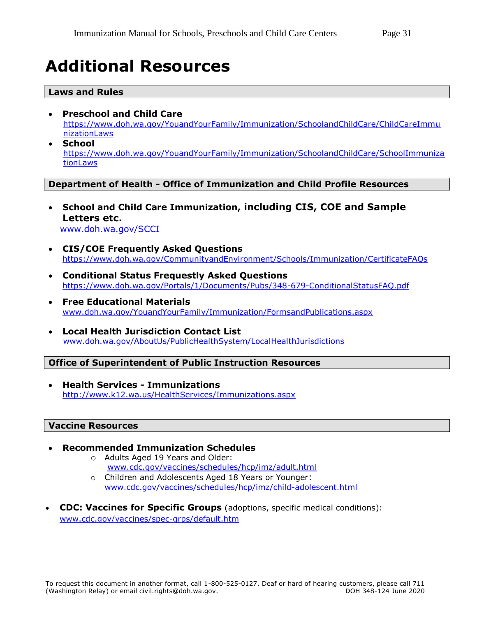## <span id="page-30-0"></span>**Additional Resources**

#### **Laws and Rules**

- **Preschool and Child Care**  [https://www.doh.wa.gov/YouandYourFamily/Immunization/SchoolandChildCare/ChildCareImmu](https://www.doh.wa.gov/YouandYourFamily/Immunization/SchoolandChildCare/ChildCareImmunizationLaws) [nizationLaws](https://www.doh.wa.gov/YouandYourFamily/Immunization/SchoolandChildCare/ChildCareImmunizationLaws)
- **School** https://www.doh.wa.gov/YouandYourFamily/Immunization/SchoolandChildCare/SchoolImmuniza **tionLaws**

#### **Department of Health - Office of Immunization and Child Profile Resources**

- **School and Child Care Immunization, including CIS, COE and Sample Letters etc.** [www.doh.wa.gov/SCCI](http://www.doh.wa.gov/SCCI)
- **CIS/COE Frequently Asked Questions** <https://www.doh.wa.gov/CommunityandEnvironment/Schools/Immunization/CertificateFAQs>
- **Conditional Status Frequestly Asked Questions** <https://www.doh.wa.gov/Portals/1/Documents/Pubs/348-679-ConditionalStatusFAQ.pdf>
- **Free Educational Materials** [www.doh.wa.gov/YouandYourFamily/Immunization/FormsandPublications.aspx](http://www.doh.wa.gov/YouandYourFamily/Immunization/FormsandPublications.aspx)
- **Local Health Jurisdiction Contact List** [www.doh.wa.gov/AboutUs/PublicHealthSystem/LocalHealthJurisdictions](http://www.doh.wa.gov/AboutUs/PublicHealthSystem/LocalHealthJurisdictions)

#### **Office of Superintendent of Public Instruction Resources**

 **Health Services - Immunizations** <http://www.k12.wa.us/HealthServices/Immunizations.aspx>

#### **Vaccine Resources**

- **Recommended Immunization Schedules** o Adults Aged 19 Years and Older:
	- [www.cdc.gov/vaccines/schedules/hcp/imz/adult.html](https://www.cdc.gov/vaccines/schedules/hcp/imz/adult.html)
	- o Children and Adolescents Aged 18 Years or Younger: [www.cdc.gov/vaccines/schedules/hcp/imz/child-adolescent.html](https://www.cdc.gov/vaccines/schedules/hcp/imz/child-adolescent.html)
- **CDC: Vaccines for Specific Groups** (adoptions, specific medical conditions): [www.cdc.gov/vaccines/spec-grps/default.htm](http://www.cdc.gov/vaccines/spec-grps/default.htm)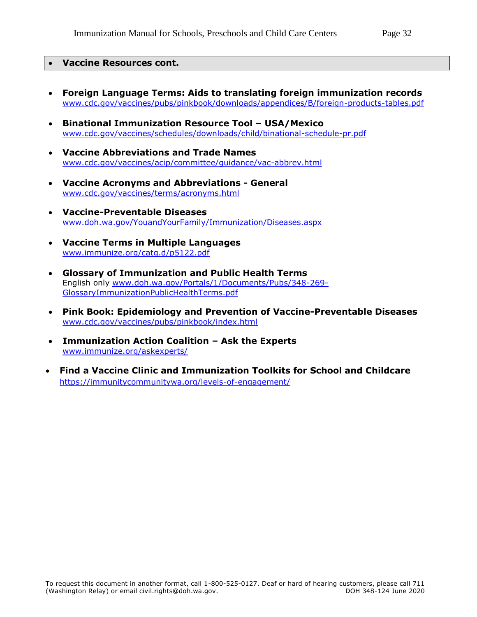#### **Vaccine Resources cont.**

- **Foreign Language Terms: Aids to translating foreign immunization records** [www.cdc.gov/vaccines/pubs/pinkbook/downloads/appendices/B/foreign-products-tables.pdf](http://www.cdc.gov/vaccines/pubs/pinkbook/downloads/appendices/B/foreign-products-tables.pdf)
- **Binational Immunization Resource Tool – USA/Mexico** [www.cdc.gov/vaccines/schedules/downloads/child/binational-schedule-pr.pdf](https://www.cdc.gov/vaccines/schedules/downloads/child/binational-schedule-pr.pdf)
- **Vaccine Abbreviations and Trade Names** [www.cdc.gov/vaccines/acip/committee/guidance/vac-abbrev.html](https://www.cdc.gov/vaccines/acip/committee/guidance/vac-abbrev.html)
- **Vaccine Acronyms and Abbreviations - General** [www.cdc.gov/vaccines/terms/acronyms.html](https://www.cdc.gov/vaccines/terms/acronyms.html)
- **Vaccine-Preventable Diseases** [www.doh.wa.gov/YouandYourFamily/Immunization/Diseases.aspx](http://www.doh.wa.gov/YouandYourFamily/Immunization/Diseases.aspx)
- **Vaccine Terms in Multiple Languages** [www.immunize.org/catg.d/p5122.pdf](http://www.immunize.org/catg.d/p5122.pdf)
- **Glossary of Immunization and Public Health Terms**  English only [www.doh.wa.gov/Portals/1/Documents/Pubs/348-269-](http://www.doh.wa.gov/Portals/1/Documents/Pubs/348-269-GlossaryImmunizationPublicHealthTerms.pdf) [GlossaryImmunizationPublicHealthTerms.pdf](http://www.doh.wa.gov/Portals/1/Documents/Pubs/348-269-GlossaryImmunizationPublicHealthTerms.pdf)
- **Pink Book: Epidemiology and Prevention of Vaccine-Preventable Diseases** [www.cdc.gov/vaccines/pubs/pinkbook/index.html](http://www.cdc.gov/vaccines/pubs/pinkbook/index.html)
- **Immunization Action Coalition – Ask the Experts** [www.immunize.org/askexperts/](http://www.immunize.org/askexperts/)
- **Find a Vaccine Clinic and Immunization Toolkits for School and Childcare** <https://immunitycommunitywa.org/levels-of-engagement/>